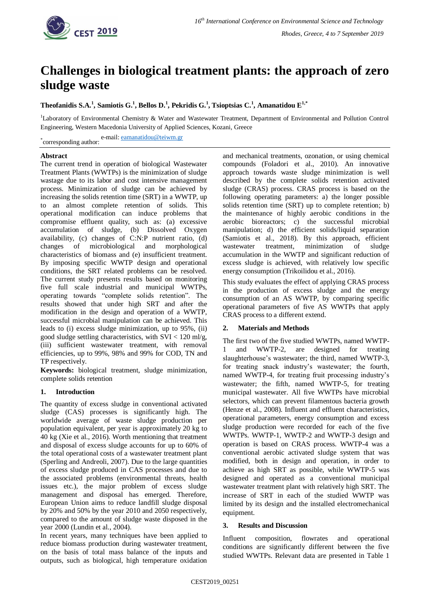

# **Challenges in biological treatment plants: the approach of zero sludge waste**

**Theofanidis S.A.<sup>1</sup> , Samiotis G.<sup>1</sup> , Bellos D.<sup>1</sup> , Pekridis G.<sup>1</sup> , Tsioptsias C.<sup>1</sup> , Amanatidou E1,\***

<sup>1</sup>Laboratory of Environmental Chemistry & Water and Wastewater Treatment, Department of Environmental and Pollution Control Engineering, Western Macedonia University of Applied Sciences, Kozani, Greece

\*corresponding author: e-mail[: eamanatidou@teiwm.gr](mailto:eamanatidou@teiwm.gr)

## **Abstract**

The current trend in operation of biological Wastewater Treatment Plants (WWTPs) is the minimization of sludge wastage due to its labor and cost intensive management process. Minimization of sludge can be achieved by increasing the solids retention time (SRT) in a WWTP, up to an almost complete retention of solids. This operational modification can induce problems that compromise effluent quality, such as: (a) excessive accumulation of sludge, (b) Dissolved Oxygen availability, (c) changes of C:N:P nutrient ratio, (d) changes of microbiological and morphological characteristics of biomass and (e) insufficient treatment. By imposing specific WWTP design and operational conditions, the SRT related problems can be resolved. The current study presents results based on monitoring five full scale industrial and municipal WWTPs, operating towards "complete solids retention". The results showed that under high SRT and after the modification in the design and operation of a WWTP, successful microbial manipulation can be achieved. This leads to (i) excess sludge minimization, up to 95%, (ii) good sludge settling characteristics, with  $SVI < 120$  ml/g, (iii) sufficient wastewater treatment, with removal efficiencies, up to 99%, 98% and 99% for COD, TN and TP respectively.

**Keywords:** biological treatment, sludge minimization, complete solids retention

## **1. Introduction**

The quantity of excess sludge in conventional activated sludge (CAS) processes is significantly high. The worldwide average of waste sludge production per population equivalent, per year is approximately 20 kg to 40 kg (Xie et al., 2016). Worth mentioning that treatment and disposal of excess sludge accounts for up to 60% of the total operational costs of a wastewater treatment plant (Sperling and Andreoli, 2007). Due to the large quantities of excess sludge produced in CAS processes and due to the associated problems (environmental threats, health issues etc.), the major problem of excess sludge management and disposal has emerged. Therefore, European Union aims to reduce landfill sludge disposal by 20% and 50% by the year 2010 and 2050 respectively, compared to the amount of sludge waste disposed in the year 2000 (Lundin et al., 2004).

In recent years, many techniques have been applied to reduce biomass production during wastewater treatment, on the basis of total mass balance of the inputs and outputs, such as biological, high temperature oxidation and mechanical treatments, ozonation, or using chemical compounds (Foladori et al., 2010). An innovative approach towards waste sludge minimization is well described by the complete solids retention activated sludge (CRAS) process. CRAS process is based on the following operating parameters: a) the longer possible solids retention time (SRT) up to complete retention; b) the maintenance of highly aerobic conditions in the aerobic bioreactors; c) the successful microbial manipulation; d) the efficient solids/liquid separation (Samiotis et al., 2018). By this approach, efficient wastewater treatment, minimization of sludge accumulation in the WWTP and significant reduction of excess sludge is achieved, with relatively low specific energy consumption (Trikoilidou et al., 2016).

This study evaluates the effect of applying CRAS process in the production of excess sludge and the energy consumption of an AS WWTP, by comparing specific operational parameters of five AS WWTPs that apply CRAS process to a different extend.

## **2. Materials and Methods**

The first two of the five studied WWTPs, named WWTP-1 and WWTP-2, are designed for treating slaughterhouse's wastewater; the third, named WWTP-3, for treating snack industry's wastewater; the fourth, named WWTP-4, for treating fruit processing industry's wastewater; the fifth, named WWTP-5, for treating municipal wastewater. All five WWTPs have microbial selectors, which can prevent filamentous bacteria growth (Henze et al., 2008). Influent and effluent characteristics, operational parameters, energy consumption and excess sludge production were recorded for each of the five WWTPs. WWTP-1, WWTP-2 and WWTP-3 design and operation is based on CRAS process. WWTP-4 was a conventional aerobic activated sludge system that was modified, both in design and operation, in order to achieve as high SRT as possible, while WWTP-5 was designed and operated as a conventional municipal wastewater treatment plant with relatively high SRT. The increase of SRT in each of the studied WWTP was limited by its design and the installed electromechanical equipment.

## **3. Results and Discussion**

Influent composition, flowrates and operational conditions are significantly different between the five studied WWTPs. Relevant data are presented in Table 1